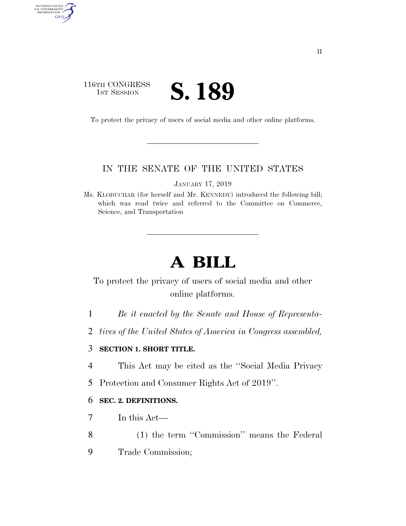## 116TH CONGRESS TH CONGRESS **S. 189**

AUTHENTICATED<br>U.S. GOVERNMENT<br>INFORMATION

GPO

To protect the privacy of users of social media and other online platforms.

## IN THE SENATE OF THE UNITED STATES

JANUARY 17, 2019

Ms. KLOBUCHAR (for herself and Mr. KENNEDY) introduced the following bill; which was read twice and referred to the Committee on Commerce, Science, and Transportation

# **A BILL**

# To protect the privacy of users of social media and other online platforms.

- 1 *Be it enacted by the Senate and House of Representa-*
- 2 *tives of the United States of America in Congress assembled,*

### 3 **SECTION 1. SHORT TITLE.**

- 4 This Act may be cited as the ''Social Media Privacy
- 5 Protection and Consumer Rights Act of 2019''.

#### 6 **SEC. 2. DEFINITIONS.**

- 7 In this Act—
- 8 (1) the term ''Commission'' means the Federal
- 9 Trade Commission;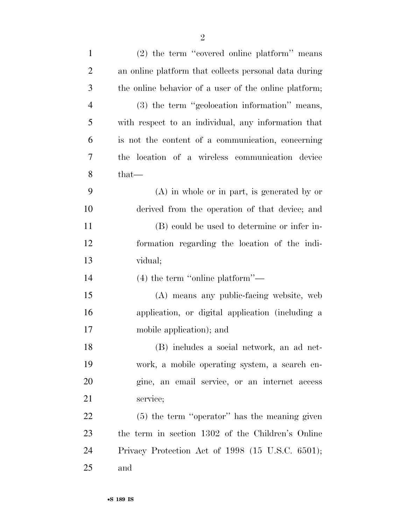| $\mathbf{1}$   | (2) the term "covered online platform" means          |
|----------------|-------------------------------------------------------|
| $\overline{2}$ | an online platform that collects personal data during |
| 3              | the online behavior of a user of the online platform; |
| $\overline{4}$ | (3) the term "geolocation information" means,         |
| 5              | with respect to an individual, any information that   |
| 6              | is not the content of a communication, concerning     |
| 7              | the location of a wireless communication device       |
| 8              | $that-$                                               |
| 9              | $(A)$ in whole or in part, is generated by or         |
| 10             | derived from the operation of that device; and        |
| 11             | (B) could be used to determine or infer in-           |
| 12             | formation regarding the location of the indi-         |
| 13             | vidual;                                               |
| 14             | $(4)$ the term "online platform"—                     |
| 15             | (A) means any public-facing website, web              |
| 16             | application, or digital application (including a      |
| 17             | mobile application); and                              |
| 18             | (B) includes a social network, an ad net-             |
| 19             | work, a mobile operating system, a search en-         |
|                |                                                       |
| 20             | gine, an email service, or an internet access         |
| 21             | service;                                              |
| 22             | $(5)$ the term "operator" has the meaning given       |
| 23             | the term in section 1302 of the Children's Online     |
| 24             | Privacy Protection Act of 1998 (15 U.S.C. 6501);      |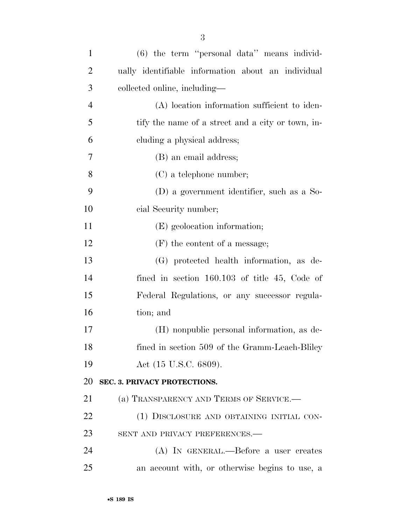| $\mathbf{1}$   | $(6)$ the term "personal data" means individ-      |
|----------------|----------------------------------------------------|
| $\overline{2}$ | ually identifiable information about an individual |
| 3              | collected online, including-                       |
| $\overline{4}$ | (A) location information sufficient to iden-       |
| 5              | tify the name of a street and a city or town, in-  |
| 6              | cluding a physical address;                        |
| 7              | (B) an email address;                              |
| 8              | $(C)$ a telephone number;                          |
| 9              | (D) a government identifier, such as a So-         |
| 10             | cial Security number;                              |
| 11             | (E) geolocation information;                       |
| 12             | $(F)$ the content of a message;                    |
| 13             | (G) protected health information, as de-           |
| 14             | fined in section $160.103$ of title 45, Code of    |
| 15             | Federal Regulations, or any successor regula-      |
| 16             | tion; and                                          |
| 17             | (H) nonpublic personal information, as de-         |
| 18             | fined in section 509 of the Gramm-Leach-Bliley     |
| 19             | Act (15 U.S.C. 6809).                              |
| 20             | SEC. 3. PRIVACY PROTECTIONS.                       |
| 21             | (a) TRANSPARENCY AND TERMS OF SERVICE.             |
| 22             | (1) DISCLOSURE AND OBTAINING INITIAL CON-          |
| 23             | SENT AND PRIVACY PREFERENCES.-                     |
| 24             | (A) IN GENERAL.—Before a user creates              |
| 25             | an account with, or otherwise begins to use, a     |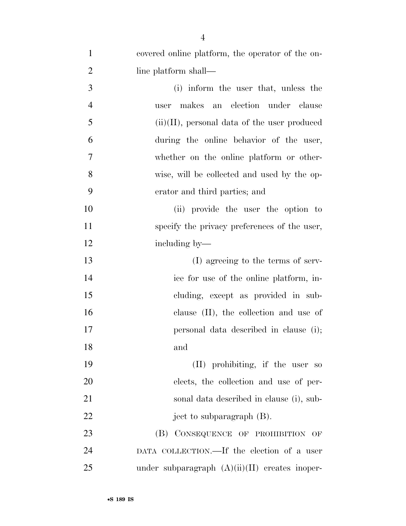| $\mathbf{1}$   | covered online platform, the operator of the on- |
|----------------|--------------------------------------------------|
| $\overline{2}$ | line platform shall—                             |
| 3              | (i) inform the user that, unless the             |
| $\overline{4}$ | makes an election under clause<br>user           |
| 5              | $(ii)(II)$ , personal data of the user produced  |
| 6              | during the online behavior of the user,          |
| 7              | whether on the online platform or other-         |
| 8              | wise, will be collected and used by the op-      |
| 9              | erator and third parties; and                    |
| 10             | (ii) provide the user the option to              |
| 11             | specify the privacy preferences of the user,     |
| 12             | including by—                                    |
| 13             | (I) agreeing to the terms of serv-               |
| 14             | ice for use of the online platform, in-          |
| 15             | cluding, except as provided in sub-              |
| 16             | clause (II), the collection and use of           |
| 17             | personal data described in clause (i);           |
| 18             | and                                              |
| 19             | (II) prohibiting, if the user so                 |
| 20             | elects, the collection and use of per-           |
| 21             | sonal data described in clause (i), sub-         |
| 22             | ject to subparagraph (B).                        |
| 23             | CONSEQUENCE OF PROHIBITION OF<br>(B)             |
| 24             | DATA COLLECTION.—If the election of a user       |
| 25             | under subparagraph $(A)(ii)(II)$ creates inoper- |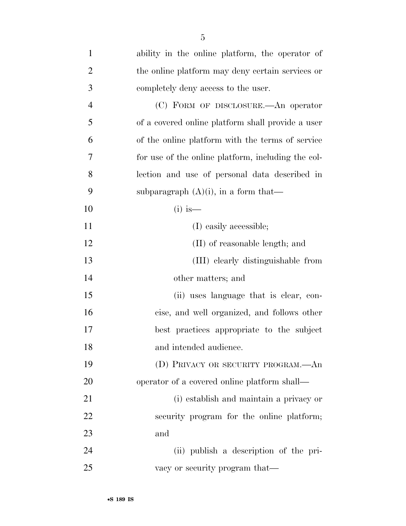| $\mathbf{1}$   | ability in the online platform, the operator of    |
|----------------|----------------------------------------------------|
| $\overline{2}$ | the online platform may deny certain services or   |
| 3              | completely deny access to the user.                |
| $\overline{4}$ | (C) FORM OF DISCLOSURE.—An operator                |
| 5              | of a covered online platform shall provide a user  |
| 6              | of the online platform with the terms of service   |
| 7              | for use of the online platform, including the col- |
| 8              | lection and use of personal data described in      |
| 9              | subparagraph $(A)(i)$ , in a form that—            |
| 10             | $(i)$ is —                                         |
| 11             | (I) easily accessible;                             |
| 12             | (II) of reasonable length; and                     |
| 13             | (III) clearly distinguishable from                 |
| 14             | other matters; and                                 |
| 15             | (ii) uses language that is clear, con-             |
| 16             | cise, and well organized, and follows other        |
| 17             | best practices appropriate to the subject          |
| 18             | and intended audience.                             |
| 19             | (D) PRIVACY OR SECURITY PROGRAM.—An                |
| 20             | operator of a covered online platform shall—       |
| 21             | (i) establish and maintain a privacy or            |
| 22             | security program for the online platform;          |
| 23             | and                                                |
| 24             | (ii) publish a description of the pri-             |
| 25             | vacy or security program that—                     |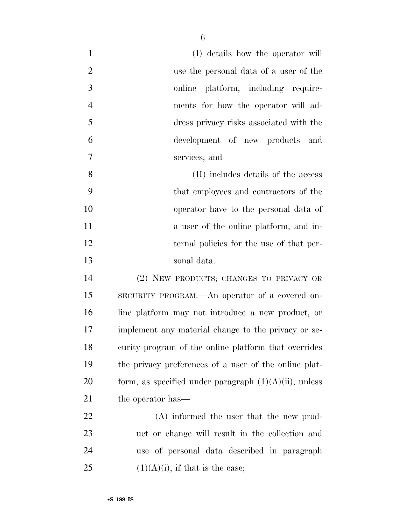| $\mathbf{1}$   | (I) details how the operator will                        |
|----------------|----------------------------------------------------------|
| $\overline{2}$ | use the personal data of a user of the                   |
| 3              | online platform, including require-                      |
| $\overline{4}$ | ments for how the operator will ad-                      |
| 5              | dress privacy risks associated with the                  |
| 6              | development of new products and                          |
| 7              | services; and                                            |
| 8              | (II) includes details of the access                      |
| 9              | that employees and contractors of the                    |
| 10             | operator have to the personal data of                    |
| 11             | a user of the online platform, and in-                   |
| 12             | ternal policies for the use of that per-                 |
| 13             | sonal data.                                              |
| 14             | (2) NEW PRODUCTS; CHANGES TO PRIVACY OR                  |
| 15             | SECURITY PROGRAM.—An operator of a covered on-           |
| 16             | line platform may not introduce a new product, or        |
| 17             | implement any material change to the privacy or se-      |
| 18             | curity program of the online platform that overrides     |
| 19             | the privacy preferences of a user of the online plat-    |
| 20             | form, as specified under paragraph $(1)(A)(ii)$ , unless |
| 21             | the operator has—                                        |
| 22             | (A) informed the user that the new prod-                 |
| 23             | uct or change will result in the collection and          |
| 24             | use of personal data described in paragraph              |
| 25             | $(1)(A)(i)$ , if that is the case;                       |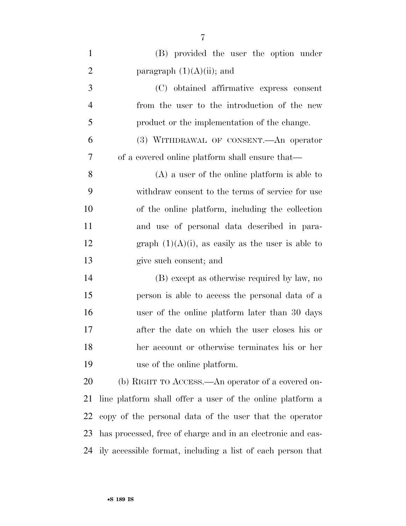| $\mathbf{1}$   | (B) provided the user the option under                      |
|----------------|-------------------------------------------------------------|
| $\overline{2}$ | paragraph $(1)(A)(ii)$ ; and                                |
| 3              | (C) obtained affirmative express consent                    |
| $\overline{4}$ | from the user to the introduction of the new                |
| 5              | product or the implementation of the change.                |
| 6              | (3) WITHDRAWAL OF CONSENT. An operator                      |
| 7              | of a covered online platform shall ensure that—             |
| 8              | $(A)$ a user of the online platform is able to              |
| 9              | withdraw consent to the terms of service for use            |
| 10             | of the online platform, including the collection            |
| 11             | and use of personal data described in para-                 |
| 12             | graph $(1)(A)(i)$ , as easily as the user is able to        |
|                |                                                             |
| 13             | give such consent; and                                      |
| 14             | (B) except as otherwise required by law, no                 |
| 15             | person is able to access the personal data of a             |
| 16             | user of the online platform later than 30 days              |
| 17             | after the date on which the user closes his or              |
| 18             | her account or otherwise terminates his or her              |
| 19             | use of the online platform.                                 |
| 20             | (b) RIGHT TO ACCESS.—An operator of a covered on-           |
| 21             | line platform shall offer a user of the online platform a   |
| 22             | copy of the personal data of the user that the operator     |
| 23             | has processed, free of charge and in an electronic and eas- |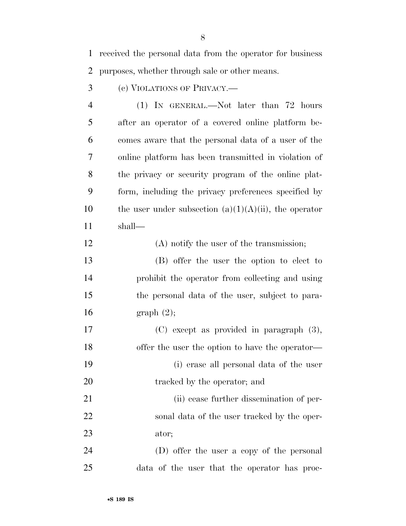received the personal data from the operator for business purposes, whether through sale or other means.

(c) VIOLATIONS OF PRIVACY.—

 (1) IN GENERAL.—Not later than 72 hours after an operator of a covered online platform be- comes aware that the personal data of a user of the online platform has been transmitted in violation of the privacy or security program of the online plat- form, including the privacy preferences specified by 10 the user under subsection  $(a)(1)(A)(ii)$ , the operator shall—

12 (A) notify the user of the transmission;

 (B) offer the user the option to elect to prohibit the operator from collecting and using the personal data of the user, subject to para-graph (2);

 (C) except as provided in paragraph (3), 18 offer the user the option to have the operator— (i) erase all personal data of the user 20 tracked by the operator; and 21 (ii) cease further dissemination of per-sonal data of the user tracked by the oper-

ator;

 (D) offer the user a copy of the personal data of the user that the operator has proc-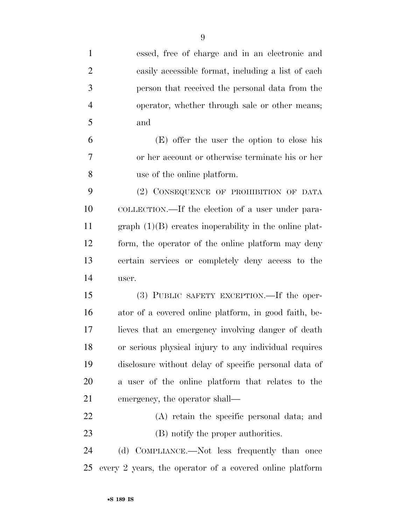| $\mathbf{1}$   | essed, free of charge and in an electronic and           |
|----------------|----------------------------------------------------------|
| $\overline{2}$ | easily accessible format, including a list of each       |
| 3              | person that received the personal data from the          |
| $\overline{4}$ | operator, whether through sale or other means;           |
| 5              | and                                                      |
| 6              | (E) offer the user the option to close his               |
| 7              | or her account or otherwise terminate his or her         |
| 8              | use of the online platform.                              |
| 9              | (2) CONSEQUENCE OF PROHIBITION OF DATA                   |
| 10             | COLLECTION.—If the election of a user under para-        |
| 11             | $graph (1)(B)$ creates inoperability in the online plat- |
| 12             | form, the operator of the online platform may deny       |
| 13             | certain services or completely deny access to the        |
| 14             | user.                                                    |
| 15             | (3) PUBLIC SAFETY EXCEPTION.—If the oper-                |
| 16             | ator of a covered online platform, in good faith, be-    |
| 17             | lieves that an emergency involving danger of death       |
| 18             | or serious physical injury to any individual requires    |
| 19             | disclosure without delay of specific personal data of    |
| 20             | a user of the online platform that relates to the        |
| 21             | emergency, the operator shall—                           |
| 22             | (A) retain the specific personal data; and               |
| 23             | (B) notify the proper authorities.                       |
| 24             | (d) COMPLIANCE.—Not less frequently than once            |
| 25             | every 2 years, the operator of a covered online platform |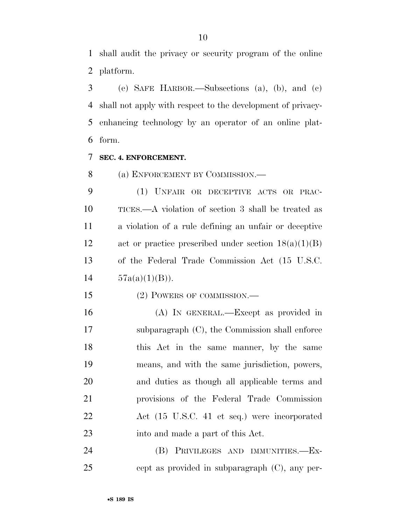shall audit the privacy or security program of the online platform.

 (e) SAFE HARBOR.—Subsections (a), (b), and (c) shall not apply with respect to the development of privacy- enhancing technology by an operator of an online plat-form.

#### **SEC. 4. ENFORCEMENT.**

8 (a) ENFORCEMENT BY COMMISSION.—

 (1) UNFAIR OR DECEPTIVE ACTS OR PRAC- TICES.—A violation of section 3 shall be treated as a violation of a rule defining an unfair or deceptive act or practice prescribed under section 18(a)(1)(B) of the Federal Trade Commission Act (15 U.S.C.  $14 \qquad 57a(a)(1)(B)$ .

15 (2) POWERS OF COMMISSION.—

 (A) IN GENERAL.—Except as provided in subparagraph (C), the Commission shall enforce 18 this Act in the same manner, by the same means, and with the same jurisdiction, powers, and duties as though all applicable terms and provisions of the Federal Trade Commission Act (15 U.S.C. 41 et seq.) were incorporated into and made a part of this Act.

 (B) PRIVILEGES AND IMMUNITIES.—Ex-cept as provided in subparagraph (C), any per-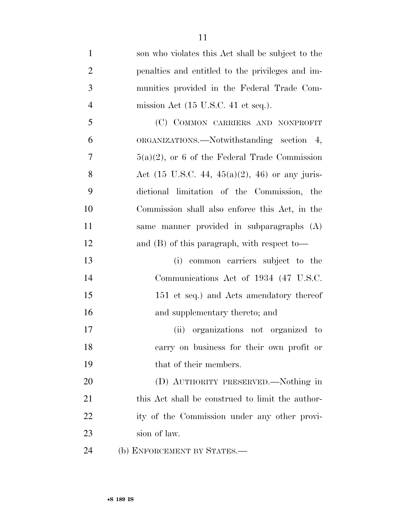| $\mathbf{1}$   | son who violates this Act shall be subject to the         |
|----------------|-----------------------------------------------------------|
| $\overline{2}$ | penalties and entitled to the privileges and im-          |
| 3              | munities provided in the Federal Trade Com-               |
| $\overline{4}$ | mission Act $(15 \text{ U.S.C. } 41 \text{ et seq.}).$    |
| 5              | (C) COMMON CARRIERS AND NONPROFIT                         |
| 6              | ORGANIZATIONS.—Notwithstanding section 4,                 |
| 7              | $5(a)(2)$ , or 6 of the Federal Trade Commission          |
| 8              | Act $(15 \text{ U.S.C. } 44, 45(a)(2), 46)$ or any juris- |
| 9              | dictional limitation of the Commission, the               |
| 10             | Commission shall also enforce this Act, in the            |
| 11             | same manner provided in subparagraphs (A)                 |
| 12             | and $(B)$ of this paragraph, with respect to-             |
| 13             | (i) common carriers subject to the                        |
| 14             | Communications Act of 1934 (47 U.S.C.                     |
| 15             | 151 et seq.) and Acts amendatory thereof                  |
| 16             | and supplementary thereto; and                            |
| 17             | (ii) organizations not organized to                       |
| 18             | carry on business for their own profit or                 |
| 19             | that of their members.                                    |
| 20             | (D) AUTHORITY PRESERVED.—Nothing in                       |
| 21             | this Act shall be construed to limit the author-          |
| 22             | ity of the Commission under any other provi-              |
| 23             | sion of law.                                              |
|                |                                                           |

(b) ENFORCEMENT BY STATES.—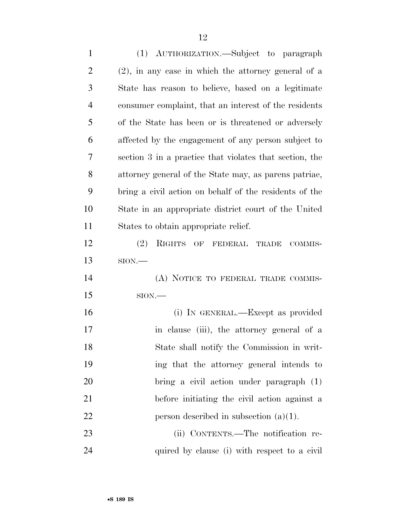| $\mathbf{1}$   | (1) AUTHORIZATION.—Subject to paragraph                 |
|----------------|---------------------------------------------------------|
| $\overline{2}$ | $(2)$ , in any case in which the attorney general of a  |
| 3              | State has reason to believe, based on a legitimate      |
| $\overline{4}$ | consumer complaint, that an interest of the residents   |
| 5              | of the State has been or is threatened or adversely     |
| 6              | affected by the engagement of any person subject to     |
| $\tau$         | section 3 in a practice that violates that section, the |
| 8              | attorney general of the State may, as parent patriae,   |
| 9              | bring a civil action on behalf of the residents of the  |
| 10             | State in an appropriate district court of the United    |
| 11             | States to obtain appropriate relief.                    |
| 12             | (2)<br>RIGHTS OF FEDERAL TRADE<br>COMMIS-               |
| 13             | $SION$ —                                                |
| 14             | (A) NOTICE TO FEDERAL TRADE COMMIS-                     |
| 15             | $SION$ .                                                |
| 16             | (i) IN GENERAL.—Except as provided                      |
| 17             |                                                         |
|                | in clause (iii), the attorney general of a              |
| 18             | State shall notify the Commission in writ-              |
| 19             | ing that the attorney general intends to                |
| 20             | bring a civil action under paragraph (1)                |
| 21             | before initiating the civil action against a            |
| 22             | person described in subsection $(a)(1)$ .               |
| 23             | (ii) CONTENTS.—The notification re-                     |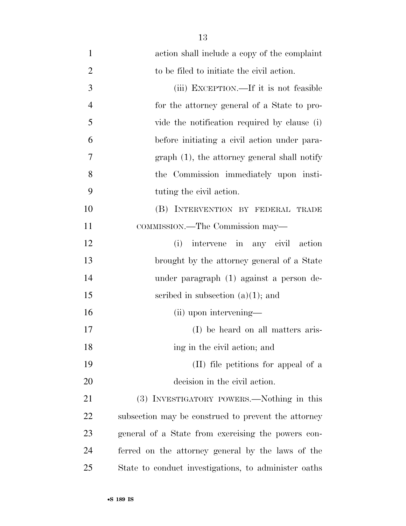| $\mathbf{1}$   | action shall include a copy of the complaint         |
|----------------|------------------------------------------------------|
| $\overline{2}$ | to be filed to initiate the civil action.            |
| 3              | (iii) EXCEPTION.—If it is not feasible               |
| $\overline{4}$ | for the attorney general of a State to pro-          |
| 5              | vide the notification required by clause (i)         |
| 6              | before initiating a civil action under para-         |
| 7              | $graph(1)$ , the attorney general shall notify       |
| 8              | the Commission immediately upon insti-               |
| 9              | tuting the civil action.                             |
| 10             | (B) INTERVENTION BY FEDERAL TRADE                    |
| 11             | COMMISSION.—The Commission may—                      |
| 12             | intervene in any civil action<br>(i)                 |
| 13             | brought by the attorney general of a State           |
| 14             | under paragraph (1) against a person de-             |
| 15             | scribed in subsection $(a)(1)$ ; and                 |
| 16             | (ii) upon intervening—                               |
| 17             | (I) be heard on all matters aris-                    |
| 18             | ing in the civil action; and                         |
| 19             | (II) file petitions for appeal of a                  |
| 20             | decision in the civil action.                        |
| 21             | (3) INVESTIGATORY POWERS.—Nothing in this            |
| 22             | subsection may be construed to prevent the attorney  |
| 23             | general of a State from exercising the powers con-   |
| 24             | ferred on the attorney general by the laws of the    |
| 25             | State to conduct investigations, to administer oaths |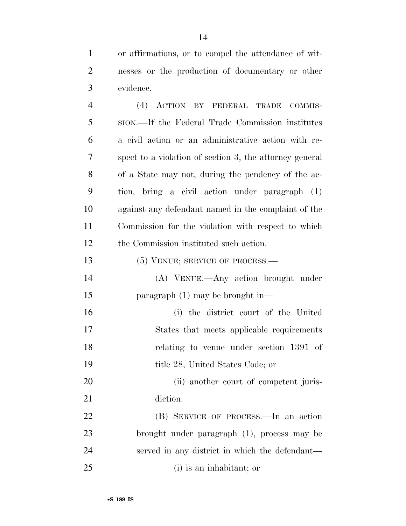or affirmations, or to compel the attendance of wit- nesses or the production of documentary or other evidence.

 (4) ACTION BY FEDERAL TRADE COMMIS- SION.—If the Federal Trade Commission institutes a civil action or an administrative action with re- spect to a violation of section 3, the attorney general of a State may not, during the pendency of the ac- tion, bring a civil action under paragraph (1) against any defendant named in the complaint of the Commission for the violation with respect to which the Commission instituted such action. 13 (5) VENUE; SERVICE OF PROCESS.— (A) VENUE.—Any action brought under

paragraph (1) may be brought in—

 (i) the district court of the United States that meets applicable requirements relating to venue under section 1391 of title 28, United States Code; or

20 (ii) another court of competent juris-21 diction.

 (B) SERVICE OF PROCESS.—In an action brought under paragraph (1), process may be served in any district in which the defendant— (i) is an inhabitant; or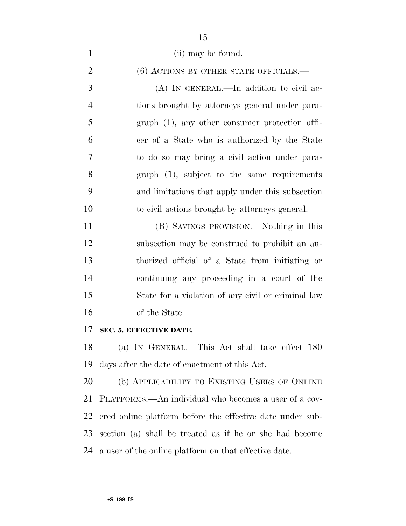| $\mathbf{1}$   | (ii) may be found.                                        |
|----------------|-----------------------------------------------------------|
| $\overline{2}$ | $(6)$ ACTIONS BY OTHER STATE OFFICIALS.—                  |
| 3              | $(A)$ In GENERAL.—In addition to civil ac-                |
| $\overline{4}$ | tions brought by attorneys general under para-            |
| 5              | graph (1), any other consumer protection offi-            |
| 6              | cer of a State who is authorized by the State             |
| 7              | to do so may bring a civil action under para-             |
| 8              | $graph$ (1), subject to the same requirements             |
| 9              | and limitations that apply under this subsection          |
| 10             | to civil actions brought by attorneys general.            |
| 11             | (B) SAVINGS PROVISION.—Nothing in this                    |
| 12             | subsection may be construed to prohibit an au-            |
| 13             | thorized official of a State from initiating or           |
| 14             | continuing any proceeding in a court of the               |
| 15             | State for a violation of any civil or criminal law        |
| 16             | of the State.                                             |
| 17             | SEC. 5. EFFECTIVE DATE.                                   |
| 18             | (a) IN GENERAL.—This Act shall take effect 180            |
| 19             | days after the date of enactment of this Act.             |
| 20             | (b) APPLICABILITY TO EXISTING USERS OF ONLINE             |
| 21             | PLATFORMS.—An individual who becomes a user of a cov-     |
| 22             | ered online platform before the effective date under sub- |
| 23             | section (a) shall be treated as if he or she had become   |
| 24             | a user of the online platform on that effective date.     |